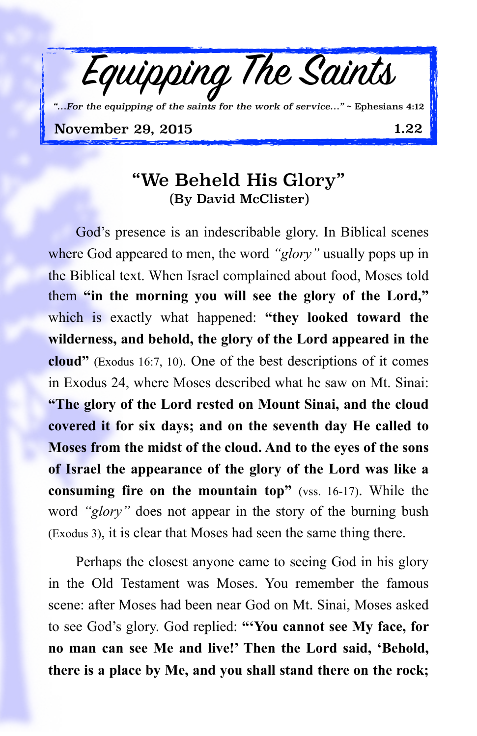

## "We Beheld His Glory" (By David McClister)

God's presence is an indescribable glory. In Biblical scenes where God appeared to men, the word *"glory"* usually pops up in the Biblical text. When Israel complained about food, Moses told them **"in the morning you will see the glory of the Lord,"** which is exactly what happened: **"they looked toward the wilderness, and behold, the glory of the Lord appeared in the cloud"** (Exodus 16:7, 10). One of the best descriptions of it comes in Exodus 24, where Moses described what he saw on Mt. Sinai: **"The glory of the Lord rested on Mount Sinai, and the cloud covered it for six days; and on the seventh day He called to Moses from the midst of the cloud. And to the eyes of the sons of Israel the appearance of the glory of the Lord was like a consuming fire on the mountain top"** (vss. 16-17). While the word *"glory"* does not appear in the story of the burning bush (Exodus 3), it is clear that Moses had seen the same thing there.

Perhaps the closest anyone came to seeing God in his glory in the Old Testament was Moses. You remember the famous scene: after Moses had been near God on Mt. Sinai, Moses asked to see God's glory. God replied: **"'You cannot see My face, for no man can see Me and live!' Then the Lord said, 'Behold, there is a place by Me, and you shall stand there on the rock;**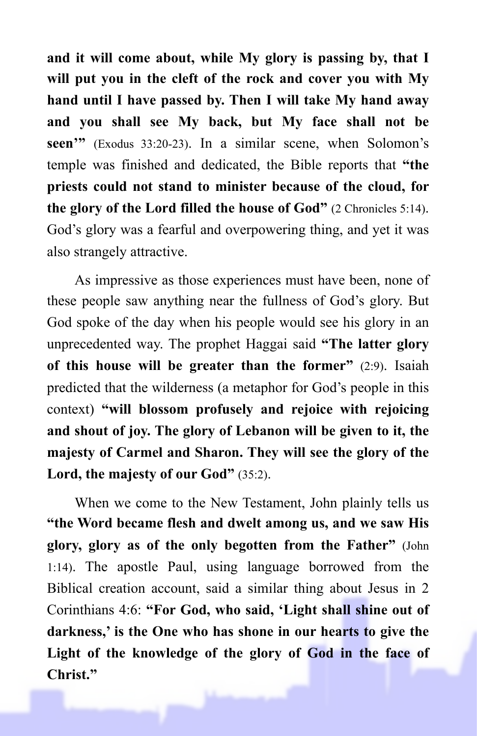**and it will come about, while My glory is passing by, that I will put you in the cleft of the rock and cover you with My hand until I have passed by. Then I will take My hand away and you shall see My back, but My face shall not be seen'"** (Exodus 33:20-23). In a similar scene, when Solomon's temple was finished and dedicated, the Bible reports that **"the priests could not stand to minister because of the cloud, for the glory of the Lord filled the house of God"** (2 Chronicles 5:14). God's glory was a fearful and overpowering thing, and yet it was also strangely attractive.

As impressive as those experiences must have been, none of these people saw anything near the fullness of God's glory. But God spoke of the day when his people would see his glory in an unprecedented way. The prophet Haggai said **"The latter glory of this house will be greater than the former"** (2:9). Isaiah predicted that the wilderness (a metaphor for God's people in this context) **"will blossom profusely and rejoice with rejoicing and shout of joy. The glory of Lebanon will be given to it, the majesty of Carmel and Sharon. They will see the glory of the Lord, the majesty of our God"** (35:2).

When we come to the New Testament, John plainly tells us **"the Word became flesh and dwelt among us, and we saw His glory, glory as of the only begotten from the Father"** (John 1:14). The apostle Paul, using language borrowed from the Biblical creation account, said a similar thing about Jesus in 2 Corinthians 4:6: **"For God, who said, 'Light shall shine out of darkness,' is the One who has shone in our hearts to give the Light of the knowledge of the glory of God in the face of Christ."**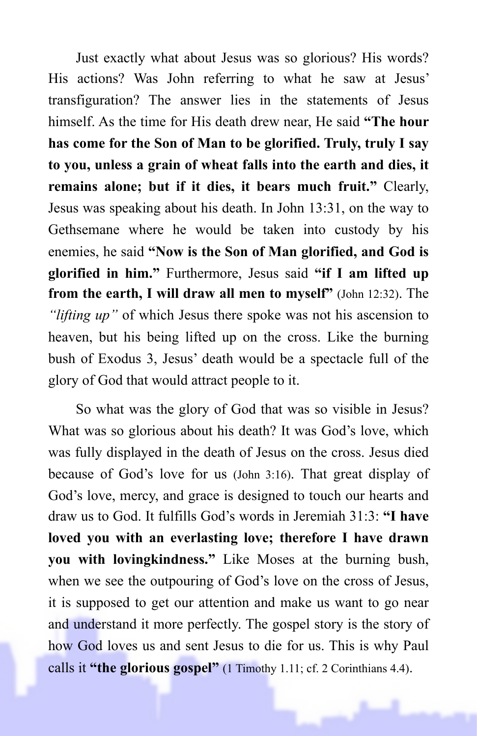Just exactly what about Jesus was so glorious? His words? His actions? Was John referring to what he saw at Jesus' transfiguration? The answer lies in the statements of Jesus himself. As the time for His death drew near, He said **"The hour has come for the Son of Man to be glorified. Truly, truly I say to you, unless a grain of wheat falls into the earth and dies, it remains alone; but if it dies, it bears much fruit."** Clearly, Jesus was speaking about his death. In John 13:31, on the way to Gethsemane where he would be taken into custody by his enemies, he said **"Now is the Son of Man glorified, and God is glorified in him."** Furthermore, Jesus said **"if I am lifted up from the earth, I will draw all men to myself"** (John 12:32). The *"lifting up"* of which Jesus there spoke was not his ascension to heaven, but his being lifted up on the cross. Like the burning bush of Exodus 3, Jesus' death would be a spectacle full of the glory of God that would attract people to it.

So what was the glory of God that was so visible in Jesus? What was so glorious about his death? It was God's love, which was fully displayed in the death of Jesus on the cross. Jesus died because of God's love for us (John 3:16). That great display of God's love, mercy, and grace is designed to touch our hearts and draw us to God. It fulfills God's words in Jeremiah 31:3: **"I have loved you with an everlasting love; therefore I have drawn you with lovingkindness."** Like Moses at the burning bush, when we see the outpouring of God's love on the cross of Jesus, it is supposed to get our attention and make us want to go near and understand it more perfectly. The gospel story is the story of how God loves us and sent Jesus to die for us. This is why Paul calls it **"the glorious gospel"** (1 Timothy 1.11; cf. 2 Corinthians 4.4).